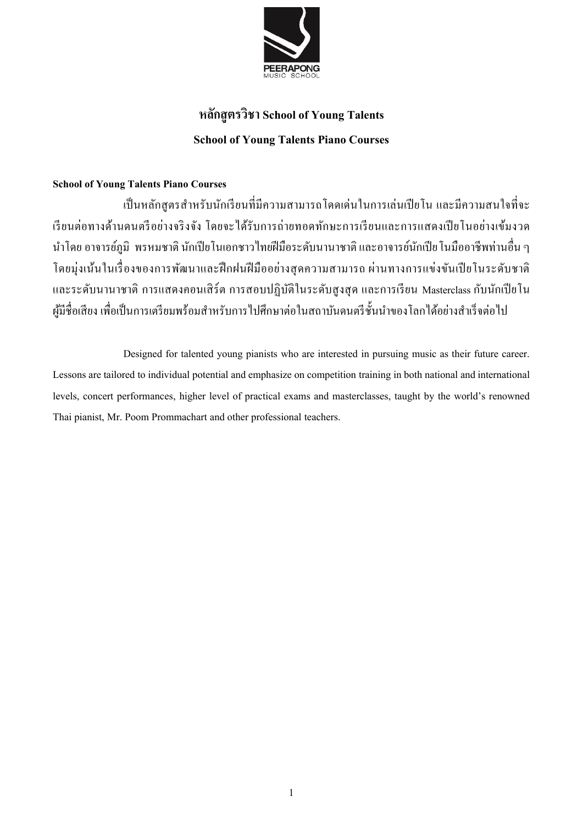

# **หลักสูตรวิชา School of Young Talents School of Young Talents Piano Courses**

### **School of Young Talents Piano Courses**

ี่ เป็นหลักสูตรสำหรับนักเรียนที่มีความสามารถโดดเด่นในการเล่นเปียโน และมีความสนใจที่จะ เรียนต่อทางด้านดนตรีอย่างจริงจัง โดยจะได้รับการถ่ายทอดทักษะการเรียนและการแสดงเปียโนอย่างเข้มงวด ้นำโดย อาจารย์ภูมิ พรหมชาติ นักเปียโนเอกชาวไทยฝีมือระดับนานาชาติ และอาจารย์นักเปีย โนมืออาชีพท่านอื่น ๆ โดยมุ่งเน้นในเรื่องของการพัฒนาและฝึกฝนฝีมืออย่างสุดความสามารถ ผ่านทางการแข่งขันเปียโนระดับชาติ และระดับนานาชาติ การแสดงคอนเสิร์ต การสอบปฏิบัติในระดับสูงสุด และการเรียน Masterclass กับนักเปียโน ผู้มีชื่อเสียง เพื่อเป็นการเตรียมพร้อมสำหรับการไปศึกษาต่อในสถาบันดนตรีชั้นนำของโลกได้อย่างสำเร็จต่อไป

Designed for talented young pianists who are interested in pursuing music as their future career. Lessons are tailored to individual potential and emphasize on competition training in both national and international levels, concert performances, higher level of practical exams and masterclasses, taught by the world's renowned Thai pianist, Mr. Poom Prommachart and other professional teachers.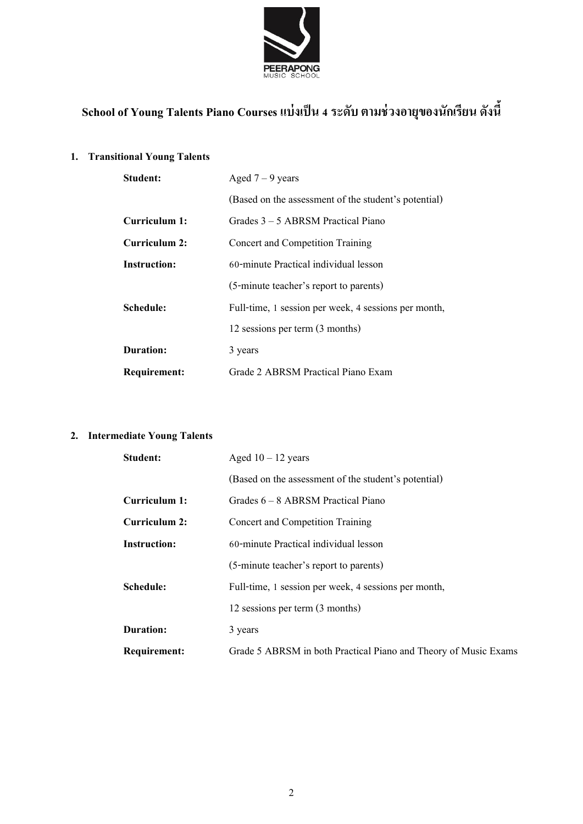

# **School of Young Talents Piano Courses แบ่งเป็น 4ระดับ ตามช่วงอายุของนักเรียน ดังนี้**

#### **1. Transitional Young Talents**

| Student:            | Aged $7 - 9$ years                                   |
|---------------------|------------------------------------------------------|
|                     | (Based on the assessment of the student's potential) |
| Curriculum 1:       | Grades 3 – 5 ABRSM Practical Piano                   |
| Curriculum 2:       | Concert and Competition Training                     |
| Instruction:        | 60-minute Practical individual lesson                |
|                     | (5-minute teacher's report to parents)               |
| Schedule:           | Full-time, 1 session per week, 4 sessions per month, |
|                     | 12 sessions per term (3 months)                      |
| Duration:           | 3 years                                              |
| <b>Requirement:</b> | Grade 2 ABRSM Practical Piano Exam                   |

# **2. Intermediate Young Talents**

| <b>Student:</b>     | Aged $10 - 12$ years                                            |
|---------------------|-----------------------------------------------------------------|
|                     | (Based on the assessment of the student's potential)            |
| Curriculum 1:       | Grades 6 – 8 ABRSM Practical Piano                              |
| Curriculum 2:       | Concert and Competition Training                                |
| <b>Instruction:</b> | 60-minute Practical individual lesson                           |
|                     | (5-minute teacher's report to parents)                          |
| Schedule:           | Full-time, 1 session per week, 4 sessions per month,            |
|                     | 12 sessions per term (3 months)                                 |
| Duration:           | 3 years                                                         |
| <b>Requirement:</b> | Grade 5 ABRSM in both Practical Piano and Theory of Music Exams |